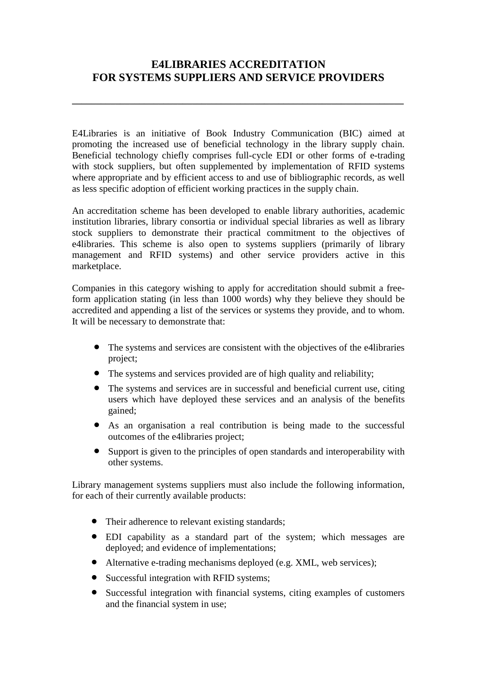## **E4LIBRARIES ACCREDITATION FOR SYSTEMS SUPPLIERS AND SERVICE PROVIDERS**

**\_\_\_\_\_\_\_\_\_\_\_\_\_\_\_\_\_\_\_\_\_\_\_\_\_\_\_\_\_\_\_\_\_\_\_\_\_\_\_\_\_\_\_\_\_\_\_\_\_\_\_\_\_\_\_\_\_\_\_\_\_\_\_\_\_\_\_\_\_**

E4Libraries is an initiative of Book Industry Communication (BIC) aimed at promoting the increased use of beneficial technology in the library supply chain. Beneficial technology chiefly comprises full-cycle EDI or other forms of e-trading with stock suppliers, but often supplemented by implementation of RFID systems where appropriate and by efficient access to and use of bibliographic records, as well as less specific adoption of efficient working practices in the supply chain.

An accreditation scheme has been developed to enable library authorities, academic institution libraries, library consortia or individual special libraries as well as library stock suppliers to demonstrate their practical commitment to the objectives of e4libraries. This scheme is also open to systems suppliers (primarily of library management and RFID systems) and other service providers active in this marketplace.

Companies in this category wishing to apply for accreditation should submit a freeform application stating (in less than 1000 words) why they believe they should be accredited and appending a list of the services or systems they provide, and to whom. It will be necessary to demonstrate that:

- The systems and services are consistent with the objectives of the e4libraries project;
- The systems and services provided are of high quality and reliability;
- The systems and services are in successful and beneficial current use, citing users which have deployed these services and an analysis of the benefits gained;
- As an organisation a real contribution is being made to the successful outcomes of the e4libraries project;
- Support is given to the principles of open standards and interoperability with other systems.

Library management systems suppliers must also include the following information, for each of their currently available products:

- Their adherence to relevant existing standards;
- EDI capability as a standard part of the system; which messages are deployed; and evidence of implementations;
- Alternative e-trading mechanisms deployed (e.g. XML, web services);
- Successful integration with RFID systems;
- Successful integration with financial systems, citing examples of customers and the financial system in use;